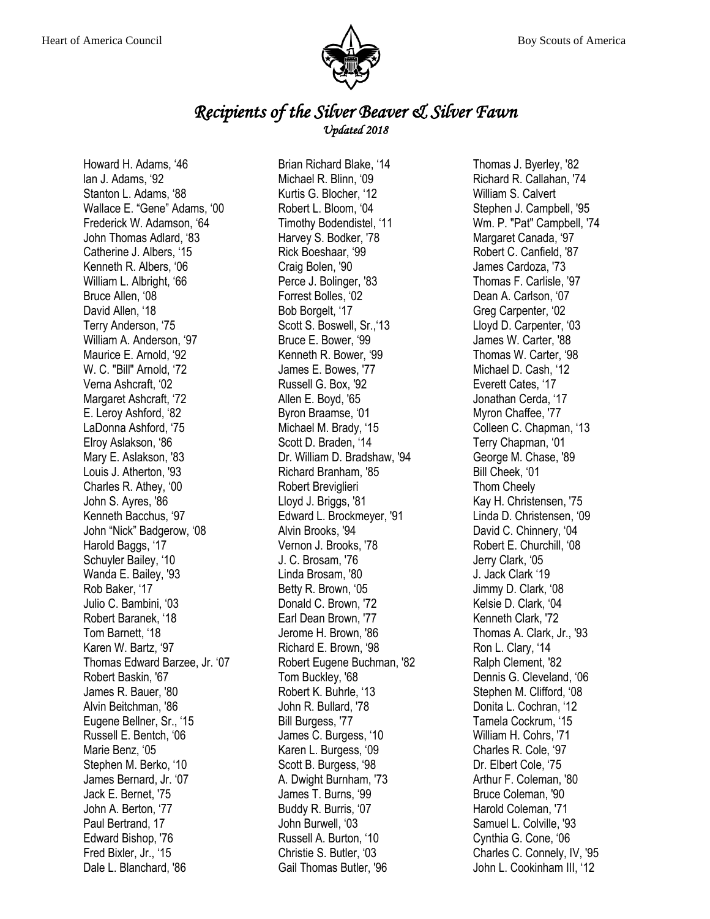

Howard H. Adams, '46 lan J. Adams, '92 Stanton L. Adams, '88 Wallace E. "Gene" Adams, '00 Frederick W. Adamson, '64 John Thomas Adlard, '83 Catherine J. Albers, '15 Kenneth R. Albers, '06 William L. Albright, '66 Bruce Allen, '08 David Allen, '18 Terry Anderson, '75 William A. Anderson, '97 Maurice E. Arnold, '92 W. C. "Bill" Arnold, '72 Verna Ashcraft, '02 Margaret Ashcraft, '72 E. Leroy Ashford, '82 LaDonna Ashford, '75 Elroy Aslakson, '86 Mary E. Aslakson, '83 Louis J. Atherton, '93 Charles R. Athey, '00 John S. Ayres, '86 Kenneth Bacchus, '97 John "Nick" Badgerow, '08 Harold Baggs, '17 Schuyler Bailey, '10 Wanda E. Bailey, '93 Rob Baker, '17 Julio C. Bambini, '03 Robert Baranek, '18 Tom Barnett, '18 Karen W. Bartz, '97 Thomas Edward Barzee, Jr. '07 Robert Baskin, '67 James R. Bauer, '80 Alvin Beitchman, '86 Eugene Bellner, Sr., '15 Russell E. Bentch, '06 Marie Benz, '05 Stephen M. Berko, '10 James Bernard, Jr. '07 Jack E. Bernet, '75 John A. Berton, '77 Paul Bertrand, 17 Edward Bishop, '76 Fred Bixler, Jr., '15 Dale L. Blanchard, '86

Brian Richard Blake, '14 Michael R. Blinn, '09 Kurtis G. Blocher, '12 Robert L. Bloom, '04 Timothy Bodendistel, '11 Harvey S. Bodker, '78 Rick Boeshaar, '99 Craig Bolen, '90 Perce J. Bolinger, '83 Forrest Bolles, '02 Bob Borgelt, '17 Scott S. Boswell, Sr.,'13 Bruce E. Bower, '99 Kenneth R. Bower, '99 James E. Bowes, '77 Russell G. Box, '92 Allen E. Boyd, '65 Byron Braamse, '01 Michael M. Brady, '15 Scott D. Braden, '14 Dr. William D. Bradshaw, '94 Richard Branham, '85 Robert Breviglieri Lloyd J. Briggs, '81 Edward L. Brockmeyer, '91 Alvin Brooks, '94 Vernon J. Brooks, '78 J. C. Brosam, '76 Linda Brosam, '80 Betty R. Brown, '05 Donald C. Brown, '72 Earl Dean Brown, '77 Jerome H. Brown, '86 Richard E. Brown, '98 Robert Eugene Buchman, '82 Tom Buckley, '68 Robert K. Buhrle, '13 John R. Bullard, '78 Bill Burgess, '77 James C. Burgess, '10 Karen L. Burgess, '09 Scott B. Burgess, '98 A. Dwight Burnham, '73 James T. Burns, '99 Buddy R. Burris, '07 John Burwell, '03 Russell A. Burton, '10 Christie S. Butler, '03 Gail Thomas Butler, '96

Thomas J. Byerley, '82 Richard R. Callahan, '74 William S. Calvert Stephen J. Campbell, '95 Wm. P. "Pat" Campbell, '74 Margaret Canada, '97 Robert C. Canfield, '87 James Cardoza, '73 Thomas F. Carlisle, '97 Dean A. Carlson, '07 Greg Carpenter, '02 Lloyd D. Carpenter, '03 James W. Carter, '88 Thomas W. Carter, '98 Michael D. Cash, '12 Everett Cates, '17 Jonathan Cerda, '17 Myron Chaffee, '77 Colleen C. Chapman, '13 Terry Chapman, '01 George M. Chase, '89 Bill Cheek, '01 Thom Cheely Kay H. Christensen, '75 Linda D. Christensen, '09 David C. Chinnery, '04 Robert E. Churchill, '08 Jerry Clark, '05 J. Jack Clark '19 Jimmy D. Clark, '08 Kelsie D. Clark, '04 Kenneth Clark, '72 Thomas A. Clark, Jr., '93 Ron L. Clary, '14 Ralph Clement, '82 Dennis G. Cleveland, '06 Stephen M. Clifford, '08 Donita L. Cochran, '12 Tamela Cockrum, '15 William H. Cohrs, '71 Charles R. Cole, '97 Dr. Elbert Cole, '75 Arthur F. Coleman, '80 Bruce Coleman, '90 Harold Coleman, '71 Samuel L. Colville, '93 Cynthia G. Cone, '06 Charles C. Connely, IV, '95 John L. Cookinham III, '12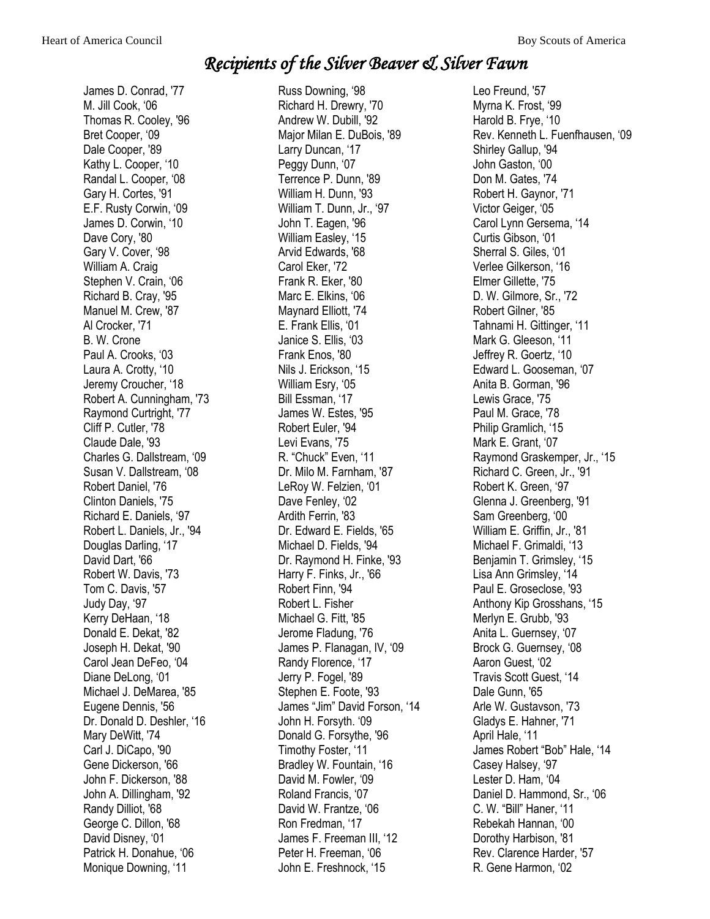James D. Conrad, '77 M. Jill Cook, '06 Thomas R. Cooley, '96 Bret Cooper, '09 Dale Cooper, '89 Kathy L. Cooper, '10 Randal L. Cooper, '08 Gary H. Cortes, '91 E.F. Rusty Corwin, '09 James D. Corwin, '10 Dave Cory, '80 Gary V. Cover, '98 William A. Craig Stephen V. Crain, '06 Richard B. Cray, '95 Manuel M. Crew, '87 Al Crocker, '71 B. W. Crone Paul A. Crooks, '03 Laura A. Crotty, '10 Jeremy Croucher, '18 Robert A. Cunningham, '73 Raymond Curtright, '77 Cliff P. Cutler, '78 Claude Dale, '93 Charles G. Dallstream, '09 Susan V. Dallstream, '08 Robert Daniel, '76 Clinton Daniels, '75 Richard E. Daniels, '97 Robert L. Daniels, Jr., '94 Douglas Darling, '17 David Dart, '66 Robert W. Davis, '73 Tom C. Davis, '57 Judy Day, '97 Kerry DeHaan, '18 Donald E. Dekat, '82 Joseph H. Dekat, '90 Carol Jean DeFeo, '04 Diane DeLong, '01 Michael J. DeMarea, '85 Eugene Dennis, '56 Dr. Donald D. Deshler, '16 Mary DeWitt, '74 Carl J. DiCapo, '90 Gene Dickerson, '66 John F. Dickerson, '88 John A. Dillingham, '92 Randy Dilliot, '68 George C. Dillon, '68 David Disney, '01 Patrick H. Donahue, '06 Monique Downing, '11

Russ Downing, '98 Richard H. Drewry, '70 Andrew W. Dubill, '92 Major Milan E. DuBois, '89 Larry Duncan, '17 Peggy Dunn, '07 Terrence P. Dunn, '89 William H. Dunn, '93 William T. Dunn, Jr., '97 John T. Eagen, '96 William Easley, '15 Arvid Edwards, '68 Carol Eker, '72 Frank R. Eker, '80 Marc E. Elkins, '06 Maynard Elliott, '74 E. Frank Ellis, '01 Janice S. Ellis, '03 Frank Enos, '80 Nils J. Erickson, '15 William Esry, '05 Bill Essman, '17 James W. Estes, '95 Robert Euler, '94 Levi Evans, '75 R. "Chuck" Even, '11 Dr. Milo M. Farnham, '87 LeRoy W. Felzien, '01 Dave Fenley, '02 Ardith Ferrin, '83 Dr. Edward E. Fields, '65 Michael D. Fields, '94 Dr. Raymond H. Finke, '93 Harry F. Finks, Jr., '66 Robert Finn, '94 Robert L. Fisher Michael G. Fitt, '85 Jerome Fladung, '76 James P. Flanagan, IV, '09 Randy Florence, '17 Jerry P. Fogel, '89 Stephen E. Foote, '93 James "Jim" David Forson, '14 John H. Forsyth. '09 Donald G. Forsythe, '96 Timothy Foster, '11 Bradley W. Fountain, '16 David M. Fowler, '09 Roland Francis, '07 David W. Frantze, '06 Ron Fredman, '17 James F. Freeman III, '12 Peter H. Freeman, '06 John E. Freshnock, '15

Leo Freund, '57 Myrna K. Frost, '99 Harold B. Frye, '10 Rev. Kenneth L. Fuenfhausen, '09 Shirley Gallup, '94 John Gaston, '00 Don M. Gates, '74 Robert H. Gaynor, '71 Victor Geiger, '05 Carol Lynn Gersema, '14 Curtis Gibson, '01 Sherral S. Giles, '01 Verlee Gilkerson, '16 Elmer Gillette, '75 D. W. Gilmore, Sr., '72 Robert Gilner, '85 Tahnami H. Gittinger, '11 Mark G. Gleeson, '11 Jeffrey R. Goertz, '10 Edward L. Gooseman, '07 Anita B. Gorman, '96 Lewis Grace, '75 Paul M. Grace, '78 Philip Gramlich, '15 Mark E. Grant, '07 Raymond Graskemper, Jr., '15 Richard C. Green, Jr., '91 Robert K. Green, '97 Glenna J. Greenberg, '91 Sam Greenberg, '00 William E. Griffin, Jr., '81 Michael F. Grimaldi, '13 Benjamin T. Grimsley, '15 Lisa Ann Grimsley, '14 Paul E. Groseclose, '93 Anthony Kip Grosshans, '15 Merlyn E. Grubb, '93 Anita L. Guernsey, '07 Brock G. Guernsey, '08 Aaron Guest, '02 Travis Scott Guest, '14 Dale Gunn, '65 Arle W. Gustavson, '73 Gladys E. Hahner, '71 April Hale, '11 James Robert "Bob" Hale, '14 Casey Halsey, '97 Lester D. Ham, '04 Daniel D. Hammond, Sr., '06 C. W. "Bill" Haner, '11 Rebekah Hannan, '00 Dorothy Harbison, '81 Rev. Clarence Harder, '57 R. Gene Harmon, '02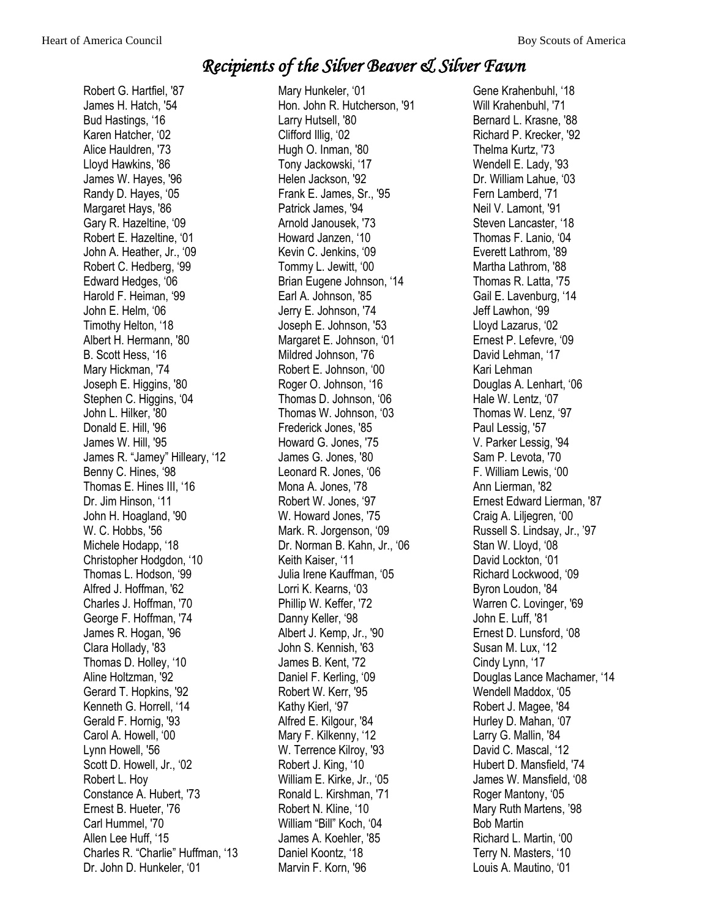Robert G. Hartfiel, '87 James H. Hatch, '54 Bud Hastings, '16 Karen Hatcher, '02 Alice Hauldren, '73 Lloyd Hawkins, '86 James W. Hayes, '96 Randy D. Hayes, '05 Margaret Hays, '86 Gary R. Hazeltine, '09 Robert E. Hazeltine, '01 John A. Heather, Jr., '09 Robert C. Hedberg, '99 Edward Hedges, '06 Harold F. Heiman, '99 John E. Helm, '06 Timothy Helton, '18 Albert H. Hermann, '80 B. Scott Hess, '16 Mary Hickman, '74 Joseph E. Higgins, '80 Stephen C. Higgins, '04 John L. Hilker, '80 Donald E. Hill, '96 James W. Hill, '95 James R. "Jamey" Hilleary, '12 Benny C. Hines, '98 Thomas E. Hines III, '16 Dr. Jim Hinson, '11 John H. Hoagland, '90 W. C. Hobbs, '56 Michele Hodapp, '18 Christopher Hodgdon, '10 Thomas L. Hodson, '99 Alfred J. Hoffman, '62 Charles J. Hoffman, '70 George F. Hoffman, '74 James R. Hogan, '96 Clara Hollady, '83 Thomas D. Holley, '10 Aline Holtzman, '92 Gerard T. Hopkins, '92 Kenneth G. Horrell, '14 Gerald F. Hornig, '93 Carol A. Howell, '00 Lynn Howell, '56 Scott D. Howell, Jr., '02 Robert L. Hoy Constance A. Hubert, '73 Ernest B. Hueter, '76 Carl Hummel, '70 Allen Lee Huff, '15 Charles R. "Charlie" Huffman, '13 Dr. John D. Hunkeler, '01

Mary Hunkeler, '01 Hon. John R. Hutcherson, '91 Larry Hutsell, '80 Clifford Illig, '02 Hugh O. Inman, '80 Tony Jackowski, '17 Helen Jackson, '92 Frank E. James, Sr., '95 Patrick James, '94 Arnold Janousek, '73 Howard Janzen, '10 Kevin C. Jenkins, '09 Tommy L. Jewitt, '00 Brian Eugene Johnson, '14 Earl A. Johnson, '85 Jerry E. Johnson, '74 Joseph E. Johnson, '53 Margaret E. Johnson, '01 Mildred Johnson, '76 Robert E. Johnson, '00 Roger O. Johnson, '16 Thomas D. Johnson, '06 Thomas W. Johnson, '03 Frederick Jones, '85 Howard G. Jones, '75 James G. Jones, '80 Leonard R. Jones, '06 Mona A. Jones, '78 Robert W. Jones, '97 W. Howard Jones, '75 Mark. R. Jorgenson, '09 Dr. Norman B. Kahn, Jr., '06 Keith Kaiser, '11 Julia Irene Kauffman, '05 Lorri K. Kearns, '03 Phillip W. Keffer, '72 Danny Keller, '98 Albert J. Kemp, Jr., '90 John S. Kennish, '63 James B. Kent, '72 Daniel F. Kerling, '09 Robert W. Kerr, '95 Kathy Kierl, '97 Alfred E. Kilgour, '84 Mary F. Kilkenny, '12 W. Terrence Kilroy, '93 Robert J. King, '10 William E. Kirke, Jr., '05 Ronald L. Kirshman, '71 Robert N. Kline, '10 William "Bill" Koch, '04 James A. Koehler, '85 Daniel Koontz, '18 Marvin F. Korn, '96

Gene Krahenbuhl, '18 Will Krahenbuhl, '71 Bernard L. Krasne, '88 Richard P. Krecker, '92 Thelma Kurtz, '73 Wendell E. Lady, '93 Dr. William Lahue, '03 Fern Lamberd, '71 Neil V. Lamont, '91 Steven Lancaster, '18 Thomas F. Lanio, '04 Everett Lathrom, '89 Martha Lathrom, '88 Thomas R. Latta, '75 Gail E. Lavenburg, '14 Jeff Lawhon, '99 Lloyd Lazarus, '02 Ernest P. Lefevre, '09 David Lehman, '17 Kari Lehman Douglas A. Lenhart, '06 Hale W. Lentz, '07 Thomas W. Lenz, '97 Paul Lessig, '57 V. Parker Lessig, '94 Sam P. Levota, '70 F. William Lewis, '00 Ann Lierman, '82 Ernest Edward Lierman, '87 Craig A. Liljegren, '00 Russell S. Lindsay, Jr., '97 Stan W. Lloyd, '08 David Lockton, '01 Richard Lockwood, '09 Byron Loudon, '84 Warren C. Lovinger, '69 John E. Luff, '81 Ernest D. Lunsford, '08 Susan M. Lux, '12 Cindy Lynn, '17 Douglas Lance Machamer, '14 Wendell Maddox, '05 Robert J. Magee, '84 Hurley D. Mahan, '07 Larry G. Mallin, '84 David C. Mascal, '12 Hubert D. Mansfield, '74 James W. Mansfield, '08 Roger Mantony, '05 Mary Ruth Martens, '98 Bob Martin Richard L. Martin, '00 Terry N. Masters, '10 Louis A. Mautino, '01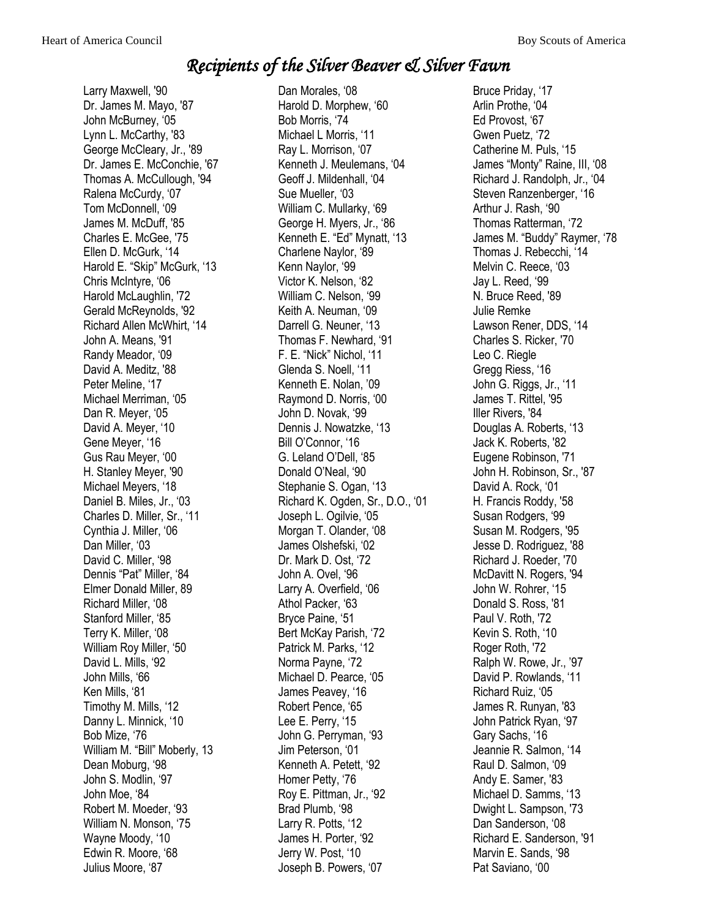Larry Maxwell, '90 Dr. James M. Mayo, '87 John McBurney, '05 Lynn L. McCarthy, '83 George McCleary, Jr., '89 Dr. James E. McConchie, '67 Thomas A. McCullough, '94 Ralena McCurdy, '07 Tom McDonnell, '09 James M. McDuff, '85 Charles E. McGee, '75 Ellen D. McGurk, '14 Harold E. "Skip" McGurk, '13 Chris McIntyre, '06 Harold McLaughlin, '72 Gerald McReynolds, '92 Richard Allen McWhirt, '14 John A. Means, '91 Randy Meador, '09 David A. Meditz, '88 Peter Meline, '17 Michael Merriman, '05 Dan R. Meyer, '05 David A. Meyer, '10 Gene Meyer, '16 Gus Rau Meyer, '00 H. Stanley Meyer, '90 Michael Meyers, '18 Daniel B. Miles, Jr., '03 Charles D. Miller, Sr., '11 Cynthia J. Miller, '06 Dan Miller, '03 David C. Miller, '98 Dennis "Pat" Miller, '84 Elmer Donald Miller, 89 Richard Miller, '08 Stanford Miller, '85 Terry K. Miller, '08 William Roy Miller, '50 David L. Mills, '92 John Mills, '66 Ken Mills, '81 Timothy M. Mills, '12 Danny L. Minnick, '10 Bob Mize, '76 William M. "Bill" Moberly, 13 Dean Moburg, '98 John S. Modlin, '97 John Moe, '84 Robert M. Moeder, '93 William N. Monson, '75 Wayne Moody, '10 Edwin R. Moore, '68 Julius Moore, '87

Dan Morales, '08 Harold D. Morphew, '60 Bob Morris, '74 Michael L Morris, '11 Ray L. Morrison, '07 Kenneth J. Meulemans, '04 Geoff J. Mildenhall, '04 Sue Mueller, '03 William C. Mullarky, '69 George H. Myers, Jr., '86 Kenneth E. "Ed" Mynatt, '13 Charlene Naylor, '89 Kenn Naylor, '99 Victor K. Nelson, '82 William C. Nelson, '99 Keith A. Neuman, '09 Darrell G. Neuner, '13 Thomas F. Newhard, '91 F. E. "Nick" Nichol, '11 Glenda S. Noell, '11 Kenneth E. Nolan, '09 Raymond D. Norris, '00 John D. Novak, '99 Dennis J. Nowatzke, '13 Bill O'Connor, '16 G. Leland O'Dell, '85 Donald O'Neal, '90 Stephanie S. Ogan, '13 Richard K. Ogden, Sr., D.O., '01 Joseph L. Ogilvie, '05 Morgan T. Olander, '08 James Olshefski, '02 Dr. Mark D. Ost, '72 John A. Ovel, '96 Larry A. Overfield, '06 Athol Packer, '63 Bryce Paine, '51 Bert McKay Parish, '72 Patrick M. Parks, '12 Norma Payne, '72 Michael D. Pearce, '05 James Peavey, '16 Robert Pence, '65 Lee E. Perry, '15 John G. Perryman, '93 Jim Peterson, '01 Kenneth A. Petett, '92 Homer Petty, '76 Roy E. Pittman, Jr., '92 Brad Plumb, '98 Larry R. Potts, '12 James H. Porter, '92 Jerry W. Post, '10 Joseph B. Powers, '07

Bruce Priday, '17 Arlin Prothe, '04 Ed Provost, '67 Gwen Puetz, '72 Catherine M. Puls, '15 James "Monty" Raine, III, '08 Richard J. Randolph, Jr., '04 Steven Ranzenberger, '16 Arthur J. Rash, '90 Thomas Ratterman, '72 James M. "Buddy" Raymer, '78 Thomas J. Rebecchi, '14 Melvin C. Reece, '03 Jay L. Reed, '99 N. Bruce Reed, '89 Julie Remke Lawson Rener, DDS, '14 Charles S. Ricker, '70 Leo C. Riegle Gregg Riess, '16 John G. Riggs, Jr., '11 James T. Rittel, '95 Iller Rivers, '84 Douglas A. Roberts, '13 Jack K. Roberts, '82 Eugene Robinson, '71 John H. Robinson, Sr., '87 David A. Rock, '01 H. Francis Roddy, '58 Susan Rodgers, '99 Susan M. Rodgers, '95 Jesse D. Rodriguez, '88 Richard J. Roeder, '70 McDavitt N. Rogers, '94 John W. Rohrer, '15 Donald S. Ross, '81 Paul V. Roth, '72 Kevin S. Roth, '10 Roger Roth, '72 Ralph W. Rowe, Jr., '97 David P. Rowlands, '11 Richard Ruiz, '05 James R. Runyan, '83 John Patrick Ryan, '97 Gary Sachs, '16 Jeannie R. Salmon, '14 Raul D. Salmon, '09 Andy E. Samer, '83 Michael D. Samms, '13 Dwight L. Sampson, '73 Dan Sanderson, '08 Richard E. Sanderson, '91 Marvin E. Sands, '98 Pat Saviano, '00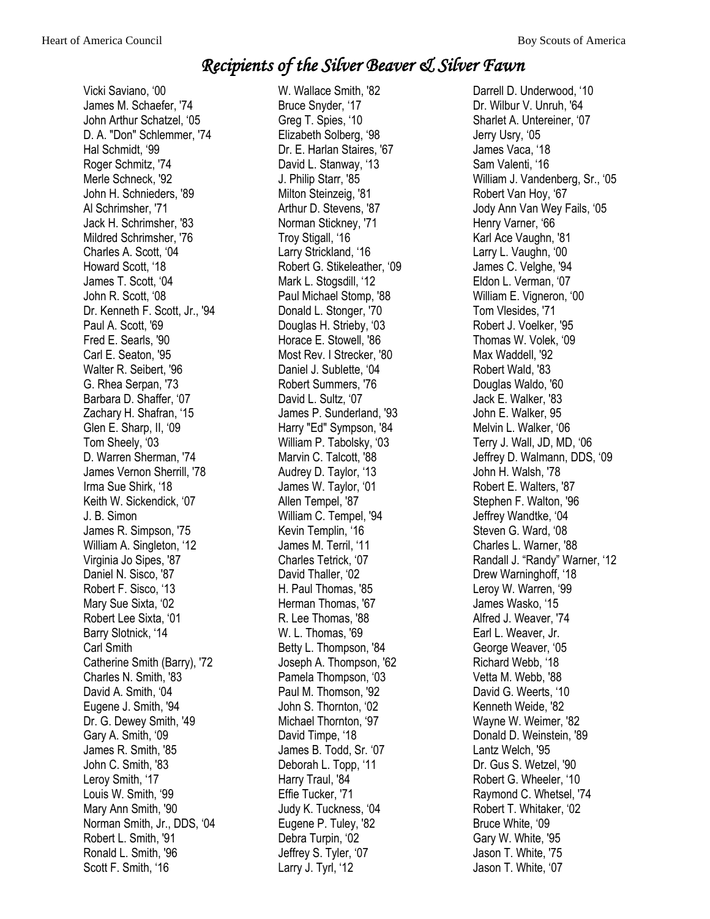Vicki Saviano, '00 James M. Schaefer, '74 John Arthur Schatzel, '05 D. A. "Don" Schlemmer, '74 Hal Schmidt, '99 Roger Schmitz, '74 Merle Schneck, '92 John H. Schnieders, '89 Al Schrimsher, '71 Jack H. Schrimsher, '83 Mildred Schrimsher, '76 Charles A. Scott, '04 Howard Scott, '18 James T. Scott, '04 John R. Scott, '08 Dr. Kenneth F. Scott, Jr., '94 Paul A. Scott, '69 Fred E. Searls, '90 Carl E. Seaton, '95 Walter R. Seibert, '96 G. Rhea Serpan, '73 Barbara D. Shaffer, '07 Zachary H. Shafran, '15 Glen E. Sharp, II, '09 Tom Sheely, '03 D. Warren Sherman, '74 James Vernon Sherrill, '78 Irma Sue Shirk, '18 Keith W. Sickendick, '07 J. B. Simon James R. Simpson, '75 William A. Singleton, '12 Virginia Jo Sipes, '87 Daniel N. Sisco, '87 Robert F. Sisco, '13 Mary Sue Sixta, '02 Robert Lee Sixta, '01 Barry Slotnick, '14 Carl Smith Catherine Smith (Barry), '72 Charles N. Smith, '83 David A. Smith, '04 Eugene J. Smith, '94 Dr. G. Dewey Smith, '49 Gary A. Smith, '09 James R. Smith, '85 John C. Smith, '83 Leroy Smith, '17 Louis W. Smith, '99 Mary Ann Smith, '90 Norman Smith, Jr., DDS, '04 Robert L. Smith, '91 Ronald L. Smith, '96 Scott F. Smith, '16

W. Wallace Smith, '82 Bruce Snyder, '17 Greg T. Spies, '10 Elizabeth Solberg, '98 Dr. E. Harlan Staires, '67 David L. Stanway, '13 J. Philip Starr, '85 Milton Steinzeig, '81 Arthur D. Stevens, '87 Norman Stickney, '71 Troy Stigall, '16 Larry Strickland, '16 Robert G. Stikeleather, '09 Mark L. Stogsdill, '12 Paul Michael Stomp, '88 Donald L. Stonger, '70 Douglas H. Strieby, '03 Horace E. Stowell, '86 Most Rev. I Strecker, '80 Daniel J. Sublette, '04 Robert Summers, '76 David L. Sultz, '07 James P. Sunderland, '93 Harry "Ed" Sympson, '84 William P. Tabolsky, '03 Marvin C. Talcott, '88 Audrey D. Taylor, '13 James W. Taylor, '01 Allen Tempel, '87 William C. Tempel, '94 Kevin Templin, '16 James M. Terril, '11 Charles Tetrick, '07 David Thaller, '02 H. Paul Thomas, '85 Herman Thomas, '67 R. Lee Thomas, '88 W. L. Thomas, '69 Betty L. Thompson, '84 Joseph A. Thompson, '62 Pamela Thompson, '03 Paul M. Thomson, '92 John S. Thornton, '02 Michael Thornton, '97 David Timpe, '18 James B. Todd, Sr. '07 Deborah L. Topp, '11 Harry Traul, '84 Effie Tucker, '71 Judy K. Tuckness, '04 Eugene P. Tuley, '82 Debra Turpin, '02 Jeffrey S. Tyler, '07 Larry J. Tyrl, '12

Darrell D. Underwood, '10 Dr. Wilbur V. Unruh, '64 Sharlet A. Untereiner, '07 Jerry Usry, '05 James Vaca, '18 Sam Valenti, '16 William J. Vandenberg, Sr., '05 Robert Van Hoy, '67 Jody Ann Van Wey Fails, '05 Henry Varner, '66 Karl Ace Vaughn, '81 Larry L. Vaughn, '00 James C. Velghe, '94 Eldon L. Verman, '07 William E. Vigneron, '00 Tom Vlesides, '71 Robert J. Voelker, '95 Thomas W. Volek, '09 Max Waddell, '92 Robert Wald, '83 Douglas Waldo, '60 Jack E. Walker, '83 John E. Walker, 95 Melvin L. Walker, '06 Terry J. Wall, JD, MD, '06 Jeffrey D. Walmann, DDS, '09 John H. Walsh, '78 Robert E. Walters, '87 Stephen F. Walton, '96 Jeffrey Wandtke, '04 Steven G. Ward, '08 Charles L. Warner, '88 Randall J. "Randy" Warner, '12 Drew Warninghoff, '18 Leroy W. Warren, '99 James Wasko, '15 Alfred J. Weaver, '74 Earl L. Weaver, Jr. George Weaver, '05 Richard Webb, '18 Vetta M. Webb, '88 David G. Weerts, '10 Kenneth Weide, '82 Wayne W. Weimer, '82 Donald D. Weinstein, '89 Lantz Welch, '95 Dr. Gus S. Wetzel, '90 Robert G. Wheeler, '10 Raymond C. Whetsel, '74 Robert T. Whitaker, '02 Bruce White, '09 Gary W. White, '95 Jason T. White, '75 Jason T. White, '07